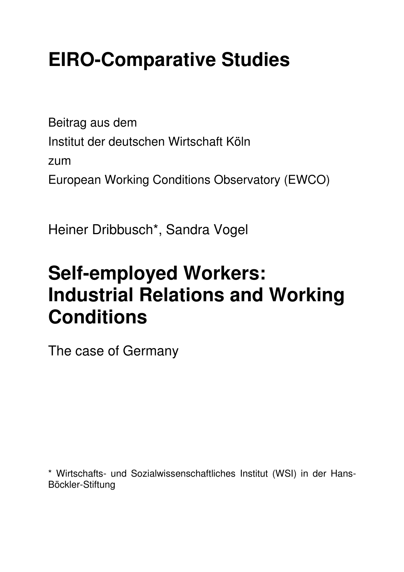# **EIRO-Comparative Studies**

Beitrag aus dem Institut der deutschen Wirtschaft Köln zum European Working Conditions Observatory (EWCO)

Heiner Dribbusch\*, Sandra Vogel

# **Self-employed Workers: Industrial Relations and Working Conditions**

The case of Germany

\* Wirtschafts- und Sozialwissenschaftliches Institut (WSI) in der Hans-Böckler-Stiftung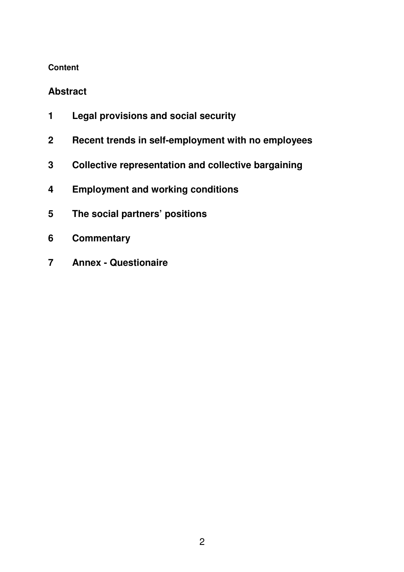#### **Content**

### **Abstract**

- **1 Legal provisions and social security**
- **2 Recent trends in self-employment with no employees**
- **3 Collective representation and collective bargaining**
- **4 Employment and working conditions**
- **5 The social partners' positions**
- **6 Commentary**
- **7 Annex Questionaire**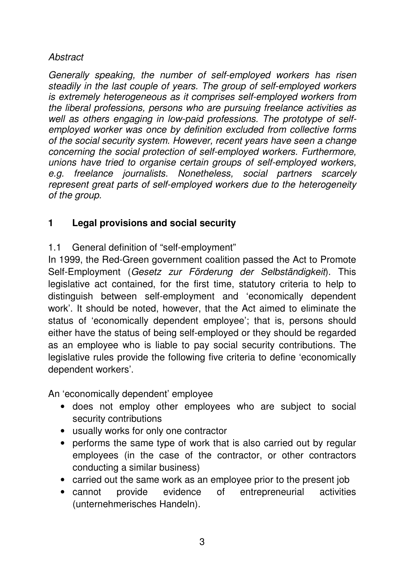#### **Abstract**

Generally speaking, the number of self-employed workers has risen steadily in the last couple of years. The group of self-employed workers is extremely heterogeneous as it comprises self-employed workers from the liberal professions, persons who are pursuing freelance activities as well as others engaging in low-paid professions. The prototype of selfemployed worker was once by definition excluded from collective forms of the social security system. However, recent years have seen a change concerning the social protection of self-employed workers. Furthermore, unions have tried to organise certain groups of self-employed workers, e.g. freelance journalists. Nonetheless, social partners scarcely represent great parts of self-employed workers due to the heterogeneity of the group.

# **1 Legal provisions and social security**

1.1 General definition of "self-employment"

In 1999, the Red-Green government coalition passed the Act to Promote Self-Employment (Gesetz zur Förderung der Selbständigkeit). This legislative act contained, for the first time, statutory criteria to help to distinguish between self-employment and 'economically dependent work'. It should be noted, however, that the Act aimed to eliminate the status of 'economically dependent employee'; that is, persons should either have the status of being self-employed or they should be regarded as an employee who is liable to pay social security contributions. The legislative rules provide the following five criteria to define 'economically dependent workers'.

An 'economically dependent' employee

- does not employ other employees who are subject to social security contributions
- usually works for only one contractor
- performs the same type of work that is also carried out by regular employees (in the case of the contractor, or other contractors conducting a similar business)
- carried out the same work as an employee prior to the present job
- cannot provide evidence of entrepreneurial activities (unternehmerisches Handeln).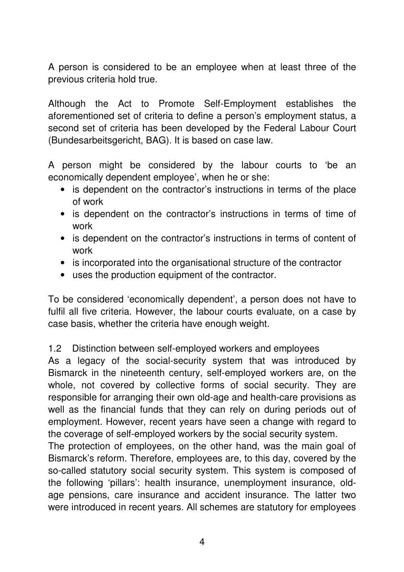A person is considered to be an employee when at least three of the previous criteria hold true.

Although the Act to Promote Self-Employment establishes the aforementioned set of criteria to define a person's employment status, a second set of criteria has been developed by the Federal Labour Court (Bundesarbeitsgericht, BAG). It is based on case law.

A person might be considered by the labour courts to 'be an economically dependent employee', when he or she:

- is dependent on the contractor's instructions in terms of the place of work
- is dependent on the contractor's instructions in terms of time of work
- is dependent on the contractor's instructions in terms of content of work
- is incorporated into the organisational structure of the contractor
- uses the production equipment of the contractor.

To be considered 'economically dependent', a person does not have to fulfil all five criteria. However, the labour courts evaluate, on a case by case basis, whether the criteria have enough weight.

## 1.2 Distinction between self-employed workers and employees

As a legacy of the social-security system that was introduced by Bismarck in the nineteenth century, self-employed workers are, on the whole, not covered by collective forms of social security. They are responsible for arranging their own old-age and health-care provisions as well as the financial funds that they can rely on during periods out of employment. However, recent years have seen a change with regard to the coverage of self-employed workers by the social security system.

The protection of employees, on the other hand, was the main goal of Bismarck's reform. Therefore, employees are, to this day, covered by the so-called statutory social security system. This system is composed of the following 'pillars': health insurance, unemployment insurance, oldage pensions, care insurance and accident insurance. The latter two were introduced in recent years. All schemes are statutory for employees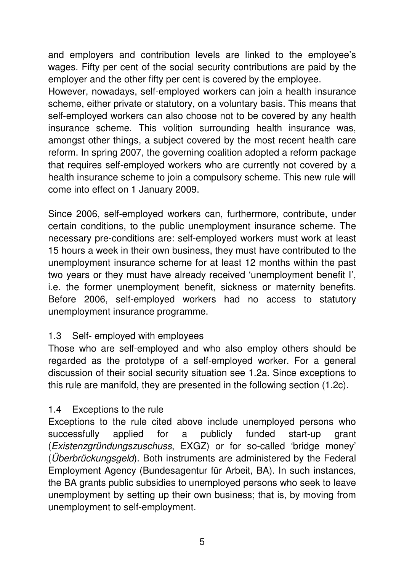and employers and contribution levels are linked to the employee's wages. Fifty per cent of the social security contributions are paid by the employer and the other fifty per cent is covered by the employee.

However, nowadays, self-employed workers can join a health insurance scheme, either private or statutory, on a voluntary basis. This means that self-employed workers can also choose not to be covered by any health insurance scheme. This volition surrounding health insurance was, amongst other things, a subject covered by the most recent health care reform. In spring 2007, the governing coalition adopted a reform package that requires self-employed workers who are currently not covered by a health insurance scheme to join a compulsory scheme. This new rule will come into effect on 1 January 2009.

Since 2006, self-employed workers can, furthermore, contribute, under certain conditions, to the public unemployment insurance scheme. The necessary pre-conditions are: self-employed workers must work at least 15 hours a week in their own business, they must have contributed to the unemployment insurance scheme for at least 12 months within the past two years or they must have already received 'unemployment benefit I', i.e. the former unemployment benefit, sickness or maternity benefits. Before 2006, self-employed workers had no access to statutory unemployment insurance programme.

#### 1.3 Self- employed with employees

Those who are self-employed and who also employ others should be regarded as the prototype of a self-employed worker. For a general discussion of their social security situation see 1.2a. Since exceptions to this rule are manifold, they are presented in the following section (1.2c).

## 1.4 Exceptions to the rule

Exceptions to the rule cited above include unemployed persons who successfully applied for a publicly funded start-up grant (Existenzgründungszuschuss, EXGZ) or for so-called 'bridge money' (*Überbrückungsgeld*). Both instruments are administered by the Federal Employment Agency (Bundesagentur für Arbeit, BA). In such instances, the BA grants public subsidies to unemployed persons who seek to leave unemployment by setting up their own business; that is, by moving from unemployment to self-employment.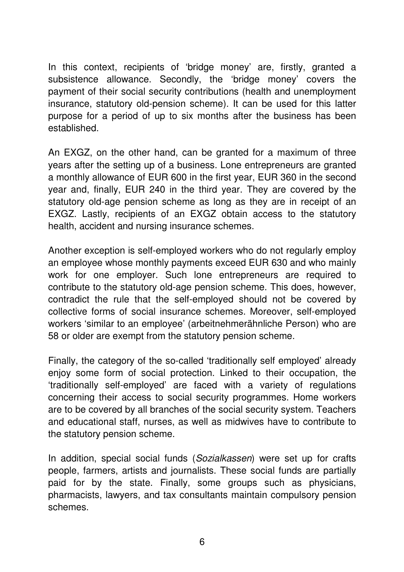In this context, recipients of 'bridge money' are, firstly, granted a subsistence allowance. Secondly, the 'bridge money' covers the payment of their social security contributions (health and unemployment insurance, statutory old-pension scheme). It can be used for this latter purpose for a period of up to six months after the business has been established.

An EXGZ, on the other hand, can be granted for a maximum of three years after the setting up of a business. Lone entrepreneurs are granted a monthly allowance of EUR 600 in the first year, EUR 360 in the second year and, finally, EUR 240 in the third year. They are covered by the statutory old-age pension scheme as long as they are in receipt of an EXGZ. Lastly, recipients of an EXGZ obtain access to the statutory health, accident and nursing insurance schemes.

Another exception is self-employed workers who do not regularly employ an employee whose monthly payments exceed EUR 630 and who mainly work for one employer. Such lone entrepreneurs are required to contribute to the statutory old-age pension scheme. This does, however, contradict the rule that the self-employed should not be covered by collective forms of social insurance schemes. Moreover, self-employed workers 'similar to an employee' (arbeitnehmerähnliche Person) who are 58 or older are exempt from the statutory pension scheme.

Finally, the category of the so-called 'traditionally self employed' already enjoy some form of social protection. Linked to their occupation, the 'traditionally self-employed' are faced with a variety of regulations concerning their access to social security programmes. Home workers are to be covered by all branches of the social security system. Teachers and educational staff, nurses, as well as midwives have to contribute to the statutory pension scheme.

In addition, special social funds (Sozialkassen) were set up for crafts people, farmers, artists and journalists. These social funds are partially paid for by the state. Finally, some groups such as physicians, pharmacists, lawyers, and tax consultants maintain compulsory pension schemes.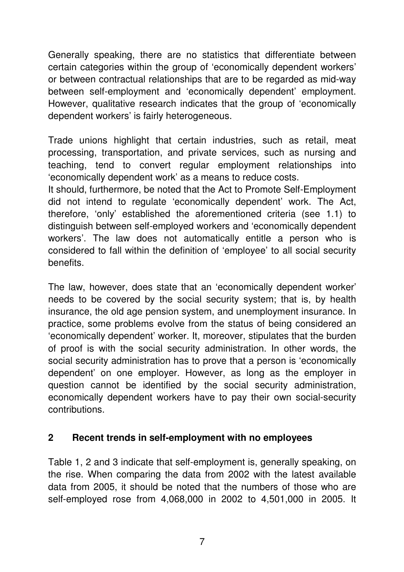Generally speaking, there are no statistics that differentiate between certain categories within the group of 'economically dependent workers' or between contractual relationships that are to be regarded as mid-way between self-employment and 'economically dependent' employment. However, qualitative research indicates that the group of 'economically dependent workers' is fairly heterogeneous.

Trade unions highlight that certain industries, such as retail, meat processing, transportation, and private services, such as nursing and teaching, tend to convert regular employment relationships into 'economically dependent work' as a means to reduce costs.

It should, furthermore, be noted that the Act to Promote Self-Employment did not intend to regulate 'economically dependent' work. The Act, therefore, 'only' established the aforementioned criteria (see 1.1) to distinguish between self-employed workers and 'economically dependent workers'. The law does not automatically entitle a person who is considered to fall within the definition of 'employee' to all social security benefits.

The law, however, does state that an 'economically dependent worker' needs to be covered by the social security system; that is, by health insurance, the old age pension system, and unemployment insurance. In practice, some problems evolve from the status of being considered an 'economically dependent' worker. It, moreover, stipulates that the burden of proof is with the social security administration. In other words, the social security administration has to prove that a person is 'economically dependent' on one employer. However, as long as the employer in question cannot be identified by the social security administration, economically dependent workers have to pay their own social-security contributions.

#### **2 Recent trends in self-employment with no employees**

Table 1, 2 and 3 indicate that self-employment is, generally speaking, on the rise. When comparing the data from 2002 with the latest available data from 2005, it should be noted that the numbers of those who are self-employed rose from 4,068,000 in 2002 to 4,501,000 in 2005. It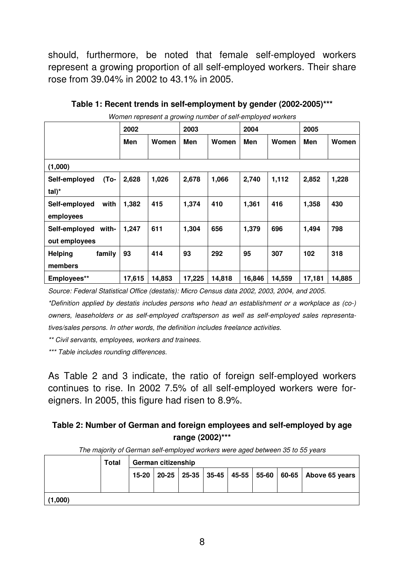should, furthermore, be noted that female self-employed workers represent a growing proportion of all self-employed workers. Their share rose from 39.04% in 2002 to 43.1% in 2005.

|                          | 2002   |        | 2003   |        |        | 2004   |        | 2005   |  |
|--------------------------|--------|--------|--------|--------|--------|--------|--------|--------|--|
|                          | Men    | Women  | Men    | Women  | Men    | Women  | Men    | Women  |  |
| (1,000)                  |        |        |        |        |        |        |        |        |  |
| Self-employed<br>(To-    | 2,628  | 1,026  | 2,678  | 1,066  | 2,740  | 1,112  | 2,852  | 1,228  |  |
| $tal)^*$                 |        |        |        |        |        |        |        |        |  |
| with<br>Self-employed    | 1,382  | 415    | 1,374  | 410    | 1,361  | 416    | 1,358  | 430    |  |
| employees                |        |        |        |        |        |        |        |        |  |
| Self-employed<br>with-   | 1,247  | 611    | 1,304  | 656    | 1,379  | 696    | 1,494  | 798    |  |
| out employees            |        |        |        |        |        |        |        |        |  |
| family<br><b>Helping</b> | 93     | 414    | 93     | 292    | 95     | 307    | 102    | 318    |  |
| members                  |        |        |        |        |        |        |        |        |  |
| Employees**              | 17,615 | 14,853 | 17,225 | 14,818 | 16,846 | 14,559 | 17,181 | 14,885 |  |

**Table 1: Recent trends in self-employment by gender (2002-2005)\*\*\*** 

Women represent a growing number of self-employed workers

Source: Federal Statistical Office (destatis): Micro Census data 2002, 2003, 2004, and 2005.

\*Definition applied by destatis includes persons who head an establishment or a workplace as (co-) owners, leaseholders or as self-employed craftsperson as well as self-employed sales representatives/sales persons. In other words, the definition includes freelance activities.

\*\* Civil servants, employees, workers and trainees.

\*\*\* Table includes rounding differences.

As Table 2 and 3 indicate, the ratio of foreign self-employed workers continues to rise. In 2002 7.5% of all self-employed workers were foreigners. In 2005, this figure had risen to 8.9%.

#### **Table 2: Number of German and foreign employees and self-employed by age range (2002)\*\*\***

|         | <b>Total</b> | The majority of definant son chiployed workers were aged between 60 to 50 years<br>German citizenship |  |  |  |  |  |  |                                                                |
|---------|--------------|-------------------------------------------------------------------------------------------------------|--|--|--|--|--|--|----------------------------------------------------------------|
|         |              | $15-20$                                                                                               |  |  |  |  |  |  | 20-25   25-35   35-45   45-55   55-60   60-65   Above 65 years |
| (1,000) |              |                                                                                                       |  |  |  |  |  |  |                                                                |

The majority of German self-employed workers were aged between 35 to 55 years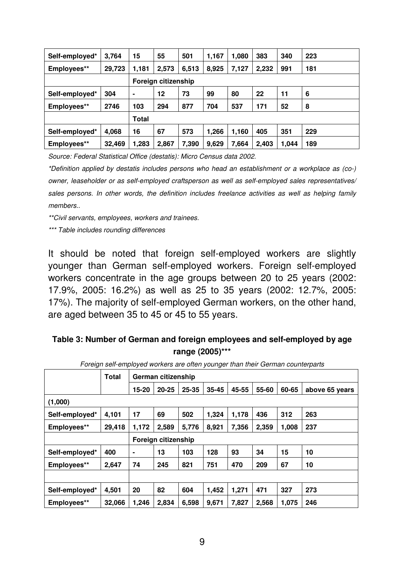| Self-employed* | 3,764               | 15    | 55    | 501   | 1,167 | 1,080 | 383   | 340   | 223 |
|----------------|---------------------|-------|-------|-------|-------|-------|-------|-------|-----|
| Employees**    | 29,723              | 1,181 | 2,573 | 6,513 | 8,925 | 7,127 | 2,232 | 991   | 181 |
|                | Foreign citizenship |       |       |       |       |       |       |       |     |
| Self-employed* | 304                 | ٠     | 12    | 73    | 99    | 80    | 22    | 11    | 6   |
| Employees**    | 2746                | 103   | 294   | 877   | 704   | 537   | 171   | 52    | 8   |
|                |                     | Total |       |       |       |       |       |       |     |
| Self-employed* | 4,068               | 16    | 67    | 573   | 1,266 | 1,160 | 405   | 351   | 229 |
| Employees**    | 32,469              | 1,283 | 2,867 | 7,390 | 9,629 | 7,664 | 2,403 | 1,044 | 189 |

Source: Federal Statistical Office (destatis): Micro Census data 2002.

\*Definition applied by destatis includes persons who head an establishment or a workplace as (co-) owner, leaseholder or as self-employed craftsperson as well as self-employed sales representatives/ sales persons. In other words, the definition includes freelance activities as well as helping family members..

\*\*Civil servants, employees, workers and trainees.

\*\*\* Table includes rounding differences

It should be noted that foreign self-employed workers are slightly younger than German self-employed workers. Foreign self-employed workers concentrate in the age groups between 20 to 25 years (2002: 17.9%, 2005: 16.2%) as well as 25 to 35 years (2002: 12.7%, 2005: 17%). The majority of self-employed German workers, on the other hand, are aged between 35 to 45 or 45 to 55 years.

#### **Table 3: Number of German and foreign employees and self-employed by age range (2005)\*\*\***

| r ordigir son chipioyed moners are onen younger than their demian counterparts |        |                     |           |       |           |       |       |       |                |
|--------------------------------------------------------------------------------|--------|---------------------|-----------|-------|-----------|-------|-------|-------|----------------|
|                                                                                | Total  | German citizenship  |           |       |           |       |       |       |                |
|                                                                                |        | 15-20               | $20 - 25$ | 25-35 | $35 - 45$ | 45-55 | 55-60 | 60-65 | above 65 years |
| (1,000)                                                                        |        |                     |           |       |           |       |       |       |                |
| Self-employed*                                                                 | 4,101  | 17                  | 69        | 502   | 1,324     | 1,178 | 436   | 312   | 263            |
| Employees**                                                                    | 29,418 | 1,172               | 2,589     | 5,776 | 8,921     | 7,356 | 2,359 | 1,008 | 237            |
|                                                                                |        | Foreign citizenship |           |       |           |       |       |       |                |
| Self-employed*                                                                 | 400    | $\blacksquare$      | 13        | 103   | 128       | 93    | 34    | 15    | 10             |
| Employees**                                                                    | 2,647  | 74                  | 245       | 821   | 751       | 470   | 209   | 67    | 10             |
|                                                                                |        |                     |           |       |           |       |       |       |                |
| Self-employed*                                                                 | 4,501  | 20                  | 82        | 604   | 1,452     | 1,271 | 471   | 327   | 273            |
| Employees**                                                                    | 32,066 | 1,246               | 2,834     | 6,598 | 9,671     | 7,827 | 2,568 | 1,075 | 246            |

Foreign self-employed workers are often younger than their German counterparts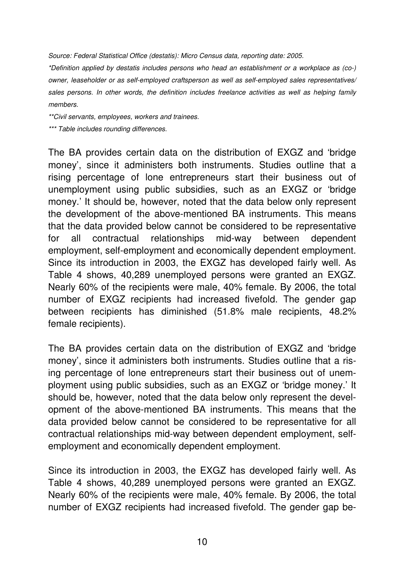Source: Federal Statistical Office (destatis): Micro Census data, reporting date: 2005.

\*Definition applied by destatis includes persons who head an establishment or a workplace as (co-) owner, leaseholder or as self-employed craftsperson as well as self-employed sales representatives/ sales persons. In other words, the definition includes freelance activities as well as helping family members.

\*\*Civil servants, employees, workers and trainees.

\*\*\* Table includes rounding differences.

The BA provides certain data on the distribution of EXGZ and 'bridge money', since it administers both instruments. Studies outline that a rising percentage of lone entrepreneurs start their business out of unemployment using public subsidies, such as an EXGZ or 'bridge money.' It should be, however, noted that the data below only represent the development of the above-mentioned BA instruments. This means that the data provided below cannot be considered to be representative for all contractual relationships mid-way between dependent employment, self-employment and economically dependent employment. Since its introduction in 2003, the EXGZ has developed fairly well. As Table 4 shows, 40,289 unemployed persons were granted an EXGZ. Nearly 60% of the recipients were male, 40% female. By 2006, the total number of EXGZ recipients had increased fivefold. The gender gap between recipients has diminished (51.8% male recipients, 48.2% female recipients).

The BA provides certain data on the distribution of EXGZ and 'bridge money', since it administers both instruments. Studies outline that a rising percentage of lone entrepreneurs start their business out of unemployment using public subsidies, such as an EXGZ or 'bridge money.' It should be, however, noted that the data below only represent the development of the above-mentioned BA instruments. This means that the data provided below cannot be considered to be representative for all contractual relationships mid-way between dependent employment, selfemployment and economically dependent employment.

Since its introduction in 2003, the EXGZ has developed fairly well. As Table 4 shows, 40,289 unemployed persons were granted an EXGZ. Nearly 60% of the recipients were male, 40% female. By 2006, the total number of EXGZ recipients had increased fivefold. The gender gap be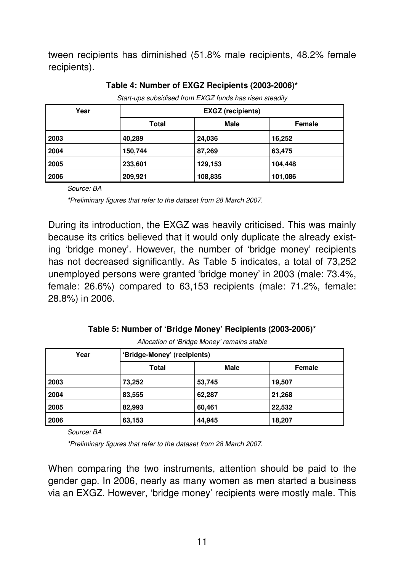tween recipients has diminished (51.8% male recipients, 48.2% female recipients).

| Year | <b>EXGZ</b> (recipients) |             |               |  |  |  |  |  |
|------|--------------------------|-------------|---------------|--|--|--|--|--|
|      | <b>Total</b>             | <b>Male</b> | <b>Female</b> |  |  |  |  |  |
| 2003 | 40,289                   | 24,036      | 16,252        |  |  |  |  |  |
| 2004 | 150,744                  | 87,269      | 63,475        |  |  |  |  |  |
| 2005 | 233,601                  | 129,153     | 104,448       |  |  |  |  |  |
| 2006 | 209,921                  | 108,835     | 101,086       |  |  |  |  |  |

#### **Table 4: Number of EXGZ Recipients (2003-2006)\***

Start-ups subsidised from EXGZ funds has risen steadily

Source: BA

\*Preliminary figures that refer to the dataset from 28 March 2007.

During its introduction, the EXGZ was heavily criticised. This was mainly because its critics believed that it would only duplicate the already existing 'bridge money'. However, the number of 'bridge money' recipients has not decreased significantly. As Table 5 indicates, a total of 73,252 unemployed persons were granted 'bridge money' in 2003 (male: 73.4%, female: 26.6%) compared to 63,153 recipients (male: 71.2%, female: 28.8%) in 2006.

**Table 5: Number of 'Bridge Money' Recipients (2003-2006)\*** 

| Year | 'Bridge-Money' (recipients) |             |        |  |  |  |  |
|------|-----------------------------|-------------|--------|--|--|--|--|
|      | <b>Total</b>                | <b>Male</b> | Female |  |  |  |  |
| 2003 | 73,252                      | 53,745      | 19,507 |  |  |  |  |
| 2004 | 83,555                      | 62,287      | 21,268 |  |  |  |  |
| 2005 | 82,993                      | 60,461      | 22,532 |  |  |  |  |
| 2006 | 63,153                      | 44,945      | 18,207 |  |  |  |  |

Allocation of 'Bridge Money' remains stable

Source: BA

\*Preliminary figures that refer to the dataset from 28 March 2007.

When comparing the two instruments, attention should be paid to the gender gap. In 2006, nearly as many women as men started a business via an EXGZ. However, 'bridge money' recipients were mostly male. This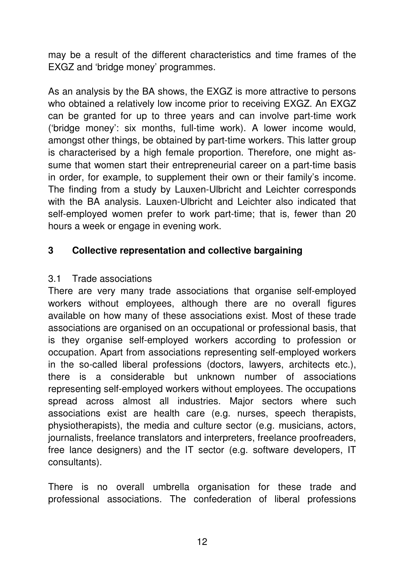may be a result of the different characteristics and time frames of the EXGZ and 'bridge money' programmes.

As an analysis by the BA shows, the EXGZ is more attractive to persons who obtained a relatively low income prior to receiving EXGZ. An EXGZ can be granted for up to three years and can involve part-time work ('bridge money': six months, full-time work). A lower income would, amongst other things, be obtained by part-time workers. This latter group is characterised by a high female proportion. Therefore, one might assume that women start their entrepreneurial career on a part-time basis in order, for example, to supplement their own or their family's income. The finding from a study by Lauxen-Ulbricht and Leichter corresponds with the BA analysis. Lauxen-Ulbricht and Leichter also indicated that self-employed women prefer to work part-time; that is, fewer than 20 hours a week or engage in evening work.

#### **3 Collective representation and collective bargaining**

#### 3.1 Trade associations

There are very many trade associations that organise self-employed workers without employees, although there are no overall figures available on how many of these associations exist. Most of these trade associations are organised on an occupational or professional basis, that is they organise self-employed workers according to profession or occupation. Apart from associations representing self-employed workers in the so-called liberal professions (doctors, lawyers, architects etc.), there is a considerable but unknown number of associations representing self-employed workers without employees. The occupations spread across almost all industries. Major sectors where such associations exist are health care (e.g. nurses, speech therapists, physiotherapists), the media and culture sector (e.g. musicians, actors, journalists, freelance translators and interpreters, freelance proofreaders, free lance designers) and the IT sector (e.g. software developers, IT consultants).

There is no overall umbrella organisation for these trade and professional associations. The confederation of liberal professions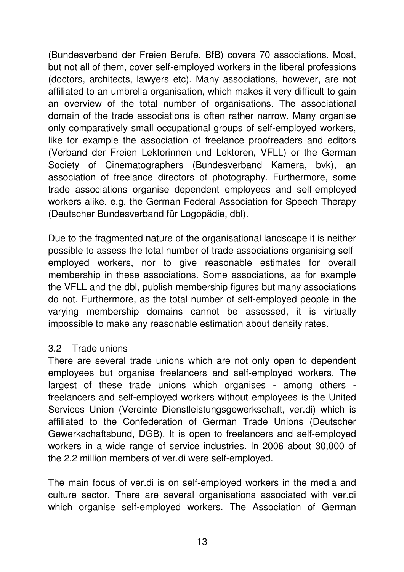(Bundesverband der Freien Berufe, BfB) covers 70 associations. Most, but not all of them, cover self-employed workers in the liberal professions (doctors, architects, lawyers etc). Many associations, however, are not affiliated to an umbrella organisation, which makes it very difficult to gain an overview of the total number of organisations. The associational domain of the trade associations is often rather narrow. Many organise only comparatively small occupational groups of self-employed workers, like for example the association of freelance proofreaders and editors (Verband der Freien Lektorinnen und Lektoren, VFLL) or the German Society of Cinematographers (Bundesverband Kamera, bvk), an association of freelance directors of photography. Furthermore, some trade associations organise dependent employees and self-employed workers alike, e.g. the German Federal Association for Speech Therapy (Deutscher Bundesverband für Logopädie, dbl).

Due to the fragmented nature of the organisational landscape it is neither possible to assess the total number of trade associations organising selfemployed workers, nor to give reasonable estimates for overall membership in these associations. Some associations, as for example the VFLL and the dbl, publish membership figures but many associations do not. Furthermore, as the total number of self-employed people in the varying membership domains cannot be assessed, it is virtually impossible to make any reasonable estimation about density rates.

#### 3.2 Trade unions

There are several trade unions which are not only open to dependent employees but organise freelancers and self-employed workers. The largest of these trade unions which organises - among others freelancers and self-employed workers without employees is the United Services Union (Vereinte Dienstleistungsgewerkschaft, ver.di) which is affiliated to the Confederation of German Trade Unions (Deutscher Gewerkschaftsbund, DGB). It is open to freelancers and self-employed workers in a wide range of service industries. In 2006 about 30,000 of the 2.2 million members of ver.di were self-employed.

The main focus of ver.di is on self-employed workers in the media and culture sector. There are several organisations associated with ver.di which organise self-employed workers. The Association of German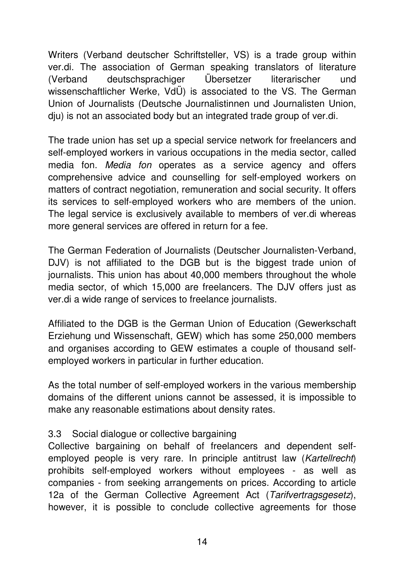Writers (Verband deutscher Schriftsteller, VS) is a trade group within ver.di. The association of German speaking translators of literature (Verband deutschsprachiger Übersetzer literarischer und wissenschaftlicher Werke, VdÜ) is associated to the VS. The German Union of Journalists (Deutsche Journalistinnen und Journalisten Union, dju) is not an associated body but an integrated trade group of ver.di.

The trade union has set up a special service network for freelancers and self-employed workers in various occupations in the media sector, called media fon. Media fon operates as a service agency and offers comprehensive advice and counselling for self-employed workers on matters of contract negotiation, remuneration and social security. It offers its services to self-employed workers who are members of the union. The legal service is exclusively available to members of ver.di whereas more general services are offered in return for a fee.

The German Federation of Journalists (Deutscher Journalisten-Verband, DJV) is not affiliated to the DGB but is the biggest trade union of journalists. This union has about 40,000 members throughout the whole media sector, of which 15,000 are freelancers. The DJV offers just as ver.di a wide range of services to freelance journalists.

Affiliated to the DGB is the German Union of Education (Gewerkschaft Erziehung und Wissenschaft, GEW) which has some 250,000 members and organises according to GEW estimates a couple of thousand selfemployed workers in particular in further education.

As the total number of self-employed workers in the various membership domains of the different unions cannot be assessed, it is impossible to make any reasonable estimations about density rates.

#### 3.3 Social dialogue or collective bargaining

Collective bargaining on behalf of freelancers and dependent selfemployed people is very rare. In principle antitrust law (Kartellrecht) prohibits self-employed workers without employees - as well as companies - from seeking arrangements on prices. According to article 12a of the German Collective Agreement Act (Tarifvertragsgesetz), however, it is possible to conclude collective agreements for those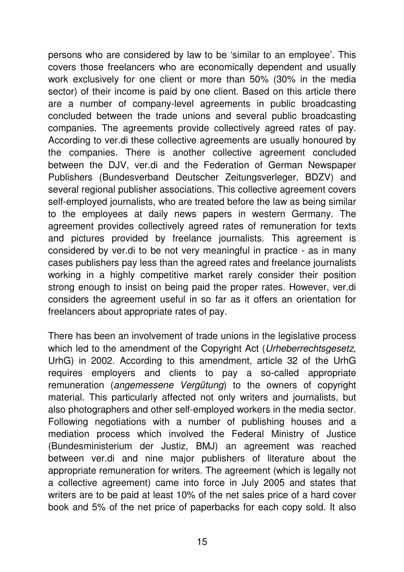persons who are considered by law to be 'similar to an employee'. This covers those freelancers who are economically dependent and usually work exclusively for one client or more than 50% (30% in the media sector) of their income is paid by one client. Based on this article there are a number of company-level agreements in public broadcasting concluded between the trade unions and several public broadcasting companies. The agreements provide collectively agreed rates of pay. According to ver.di these collective agreements are usually honoured by the companies. There is another collective agreement concluded between the DJV, ver.di and the Federation of German Newspaper Publishers (Bundesverband Deutscher Zeitungsverleger, BDZV) and several regional publisher associations. This collective agreement covers self-employed journalists, who are treated before the law as being similar to the employees at daily news papers in western Germany. The agreement provides collectively agreed rates of remuneration for texts and pictures provided by freelance journalists. This agreement is considered by ver.di to be not very meaningful in practice - as in many cases publishers pay less than the agreed rates and freelance journalists working in a highly competitive market rarely consider their position strong enough to insist on being paid the proper rates. However, ver.di considers the agreement useful in so far as it offers an orientation for freelancers about appropriate rates of pay.

There has been an involvement of trade unions in the legislative process which led to the amendment of the Copyright Act (Urheberrechtsgesetz, UrhG) in 2002. According to this amendment, article 32 of the UrhG requires employers and clients to pay a so-called appropriate remuneration (angemessene Vergütung) to the owners of copyright material. This particularly affected not only writers and journalists, but also photographers and other self-employed workers in the media sector. Following negotiations with a number of publishing houses and a mediation process which involved the Federal Ministry of Justice (Bundesministerium der Justiz, BMJ) an agreement was reached between ver.di and nine major publishers of literature about the appropriate remuneration for writers. The agreement (which is legally not a collective agreement) came into force in July 2005 and states that writers are to be paid at least 10% of the net sales price of a hard cover book and 5% of the net price of paperbacks for each copy sold. It also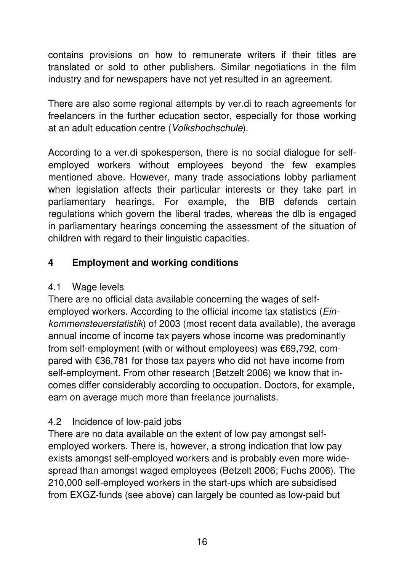contains provisions on how to remunerate writers if their titles are translated or sold to other publishers. Similar negotiations in the film industry and for newspapers have not yet resulted in an agreement.

There are also some regional attempts by ver.di to reach agreements for freelancers in the further education sector, especially for those working at an adult education centre (Volkshochschule).

According to a ver.di spokesperson, there is no social dialogue for selfemployed workers without employees beyond the few examples mentioned above. However, many trade associations lobby parliament when legislation affects their particular interests or they take part in parliamentary hearings. For example, the BfB defends certain regulations which govern the liberal trades, whereas the dlb is engaged in parliamentary hearings concerning the assessment of the situation of children with regard to their linguistic capacities.

## **4 Employment and working conditions**

## 4.1 Wage levels

There are no official data available concerning the wages of selfemployed workers. According to the official income tax statistics (Einkommensteuerstatistik) of 2003 (most recent data available), the average annual income of income tax payers whose income was predominantly from self-employment (with or without employees) was €69,792, compared with €36,781 for those tax payers who did not have income from self-employment. From other research (Betzelt 2006) we know that incomes differ considerably according to occupation. Doctors, for example, earn on average much more than freelance journalists.

# 4.2 Incidence of low-paid jobs

There are no data available on the extent of low pay amongst selfemployed workers. There is, however, a strong indication that low pay exists amongst self-employed workers and is probably even more widespread than amongst waged employees (Betzelt 2006; Fuchs 2006). The 210,000 self-employed workers in the start-ups which are subsidised from EXGZ-funds (see above) can largely be counted as low-paid but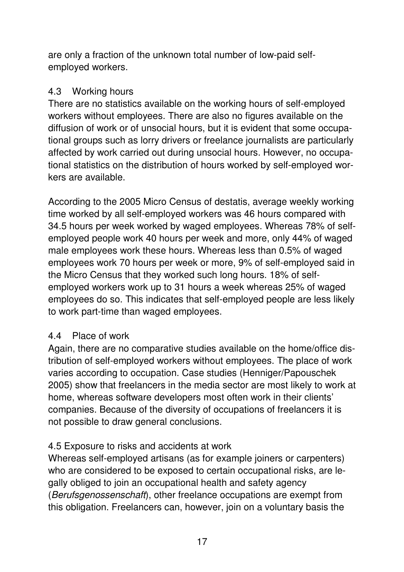are only a fraction of the unknown total number of low-paid selfemployed workers.

#### 4.3 Working hours

There are no statistics available on the working hours of self-employed workers without employees. There are also no figures available on the diffusion of work or of unsocial hours, but it is evident that some occupational groups such as lorry drivers or freelance journalists are particularly affected by work carried out during unsocial hours. However, no occupational statistics on the distribution of hours worked by self-employed workers are available.

According to the 2005 Micro Census of destatis, average weekly working time worked by all self-employed workers was 46 hours compared with 34.5 hours per week worked by waged employees. Whereas 78% of selfemployed people work 40 hours per week and more, only 44% of waged male employees work these hours. Whereas less than 0.5% of waged employees work 70 hours per week or more, 9% of self-employed said in the Micro Census that they worked such long hours. 18% of selfemployed workers work up to 31 hours a week whereas 25% of waged employees do so. This indicates that self-employed people are less likely to work part-time than waged employees.

#### 4.4 Place of work

Again, there are no comparative studies available on the home/office distribution of self-employed workers without employees. The place of work varies according to occupation. Case studies (Henniger/Papouschek 2005) show that freelancers in the media sector are most likely to work at home, whereas software developers most often work in their clients' companies. Because of the diversity of occupations of freelancers it is not possible to draw general conclusions.

## 4.5 Exposure to risks and accidents at work

Whereas self-employed artisans (as for example joiners or carpenters) who are considered to be exposed to certain occupational risks, are legally obliged to join an occupational health and safety agency (Berufsgenossenschaft), other freelance occupations are exempt from this obligation. Freelancers can, however, join on a voluntary basis the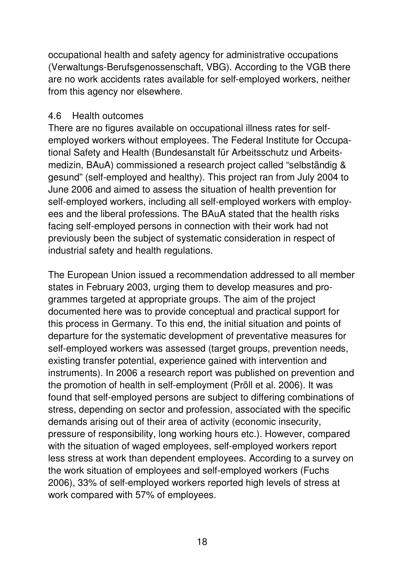occupational health and safety agency for administrative occupations (Verwaltungs-Berufsgenossenschaft, VBG). According to the VGB there are no work accidents rates available for self-employed workers, neither from this agency nor elsewhere.

#### 4.6 Health outcomes

There are no figures available on occupational illness rates for selfemployed workers without employees. The Federal Institute for Occupational Safety and Health (Bundesanstalt für Arbeitsschutz und Arbeitsmedizin, BAuA) commissioned a research project called "selbständig & gesund" (self-employed and healthy). This project ran from July 2004 to June 2006 and aimed to assess the situation of health prevention for self-employed workers, including all self-employed workers with employees and the liberal professions. The BAuA stated that the health risks facing self-employed persons in connection with their work had not previously been the subject of systematic consideration in respect of industrial safety and health regulations.

The European Union issued a recommendation addressed to all member states in February 2003, urging them to develop measures and programmes targeted at appropriate groups. The aim of the project documented here was to provide conceptual and practical support for this process in Germany. To this end, the initial situation and points of departure for the systematic development of preventative measures for self-employed workers was assessed (target groups, prevention needs, existing transfer potential, experience gained with intervention and instruments). In 2006 a research report was published on prevention and the promotion of health in self-employment (Pröll et al. 2006). It was found that self-employed persons are subject to differing combinations of stress, depending on sector and profession, associated with the specific demands arising out of their area of activity (economic insecurity, pressure of responsibility, long working hours etc.). However, compared with the situation of waged employees, self-employed workers report less stress at work than dependent employees. According to a survey on the work situation of employees and self-employed workers (Fuchs 2006), 33% of self-employed workers reported high levels of stress at work compared with 57% of employees.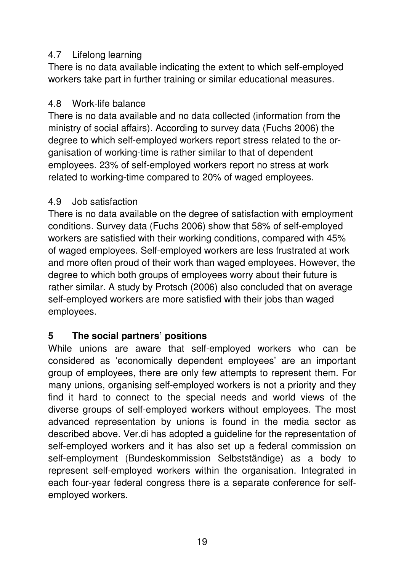#### 4.7 Lifelong learning

There is no data available indicating the extent to which self-employed workers take part in further training or similar educational measures.

#### 4.8 Work-life balance

There is no data available and no data collected (information from the ministry of social affairs). According to survey data (Fuchs 2006) the degree to which self-employed workers report stress related to the organisation of working-time is rather similar to that of dependent employees. 23% of self-employed workers report no stress at work related to working-time compared to 20% of waged employees.

#### 4.9 Job satisfaction

There is no data available on the degree of satisfaction with employment conditions. Survey data (Fuchs 2006) show that 58% of self-employed workers are satisfied with their working conditions, compared with 45% of waged employees. Self-employed workers are less frustrated at work and more often proud of their work than waged employees. However, the degree to which both groups of employees worry about their future is rather similar. A study by Protsch (2006) also concluded that on average self-employed workers are more satisfied with their jobs than waged employees.

## **5 The social partners' positions**

While unions are aware that self-employed workers who can be considered as 'economically dependent employees' are an important group of employees, there are only few attempts to represent them. For many unions, organising self-employed workers is not a priority and they find it hard to connect to the special needs and world views of the diverse groups of self-employed workers without employees. The most advanced representation by unions is found in the media sector as described above. Ver.di has adopted a guideline for the representation of self-employed workers and it has also set up a federal commission on self-employment (Bundeskommission Selbstständige) as a body to represent self-employed workers within the organisation. Integrated in each four-year federal congress there is a separate conference for selfemployed workers.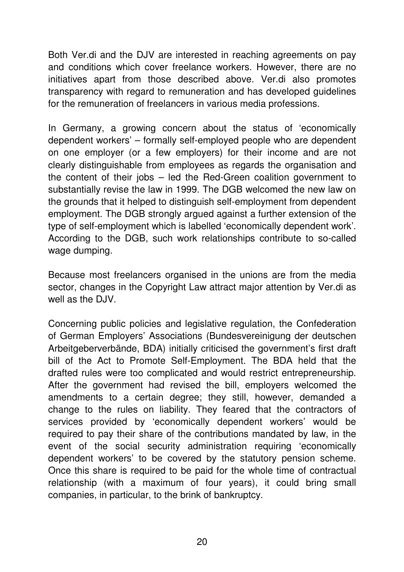Both Ver.di and the DJV are interested in reaching agreements on pay and conditions which cover freelance workers. However, there are no initiatives apart from those described above. Ver.di also promotes transparency with regard to remuneration and has developed guidelines for the remuneration of freelancers in various media professions.

In Germany, a growing concern about the status of 'economically dependent workers' – formally self-employed people who are dependent on one employer (or a few employers) for their income and are not clearly distinguishable from employees as regards the organisation and the content of their jobs – led the Red-Green coalition government to substantially revise the law in 1999. The DGB welcomed the new law on the grounds that it helped to distinguish self-employment from dependent employment. The DGB strongly argued against a further extension of the type of self-employment which is labelled 'economically dependent work'. According to the DGB, such work relationships contribute to so-called wage dumping.

Because most freelancers organised in the unions are from the media sector, changes in the Copyright Law attract major attention by Ver.di as well as the DJV.

Concerning public policies and legislative regulation, the Confederation of German Employers' Associations (Bundesvereinigung der deutschen Arbeitgeberverbände, BDA) initially criticised the government's first draft bill of the Act to Promote Self-Employment. The BDA held that the drafted rules were too complicated and would restrict entrepreneurship. After the government had revised the bill, employers welcomed the amendments to a certain degree; they still, however, demanded a change to the rules on liability. They feared that the contractors of services provided by 'economically dependent workers' would be required to pay their share of the contributions mandated by law, in the event of the social security administration requiring 'economically dependent workers' to be covered by the statutory pension scheme. Once this share is required to be paid for the whole time of contractual relationship (with a maximum of four years), it could bring small companies, in particular, to the brink of bankruptcy.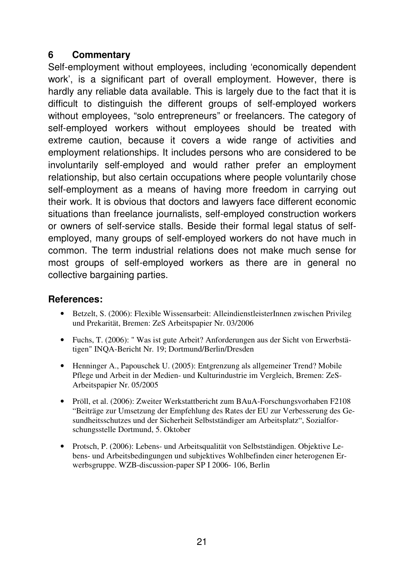#### **6 Commentary**

Self-employment without employees, including 'economically dependent work', is a significant part of overall employment. However, there is hardly any reliable data available. This is largely due to the fact that it is difficult to distinguish the different groups of self-employed workers without employees, "solo entrepreneurs" or freelancers. The category of self-employed workers without employees should be treated with extreme caution, because it covers a wide range of activities and employment relationships. It includes persons who are considered to be involuntarily self-employed and would rather prefer an employment relationship, but also certain occupations where people voluntarily chose self-employment as a means of having more freedom in carrying out their work. It is obvious that doctors and lawyers face different economic situations than freelance journalists, self-employed construction workers or owners of self-service stalls. Beside their formal legal status of selfemployed, many groups of self-employed workers do not have much in common. The term industrial relations does not make much sense for most groups of self-employed workers as there are in general no collective bargaining parties.

#### **References:**

- Betzelt, S. (2006): Flexible Wissensarbeit: AlleindienstleisterInnen zwischen Privileg und Prekarität, Bremen: ZeS Arbeitspapier Nr. 03/2006
- Fuchs, T. (2006): " Was ist gute Arbeit? Anforderungen aus der Sicht von Erwerbstätigen" INQA-Bericht Nr. 19; Dortmund/Berlin/Dresden
- Henninger A., Papouschek U. (2005): Entgrenzung als allgemeiner Trend? Mobile Pflege und Arbeit in der Medien- und Kulturindustrie im Vergleich, Bremen: ZeS-Arbeitspapier Nr. 05/2005
- Pröll, et al. (2006): Zweiter Werkstattbericht zum BAuA-Forschungsvorhaben F2108 "Beiträge zur Umsetzung der Empfehlung des Rates der EU zur Verbesserung des Gesundheitsschutzes und der Sicherheit Selbstständiger am Arbeitsplatz", Sozialforschungsstelle Dortmund, 5. Oktober
- Protsch, P. (2006): Lebens- und Arbeitsqualität von Selbstständigen. Objektive Lebens- und Arbeitsbedingungen und subjektives Wohlbefinden einer heterogenen Erwerbsgruppe. WZB-discussion-paper SP I 2006- 106, Berlin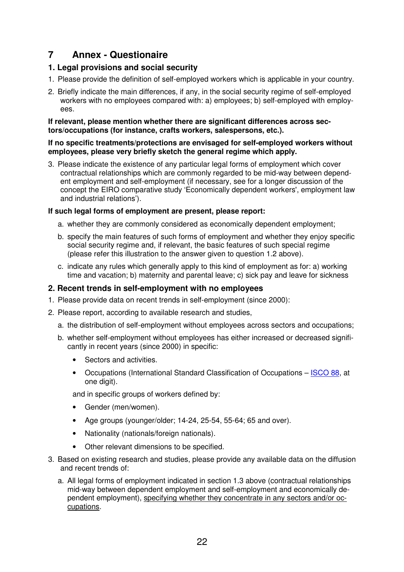#### **7 Annex - Questionaire**

#### **1. Legal provisions and social security**

- 1. Please provide the definition of self-employed workers which is applicable in your country.
- 2. Briefly indicate the main differences, if any, in the social security regime of self-employed workers with no employees compared with: a) employees; b) self-employed with employees.

#### **If relevant, please mention whether there are significant differences across sectors/occupations (for instance, crafts workers, salespersons, etc.).**

#### **If no specific treatments/protections are envisaged for self-employed workers without employees, please very briefly sketch the general regime which apply.**

3. Please indicate the existence of any particular legal forms of employment which cover contractual relationships which are commonly regarded to be mid-way between dependent employment and self-employment (if necessary, see for a longer discussion of the concept the EIRO comparative study 'Economically dependent workers', employment law and industrial relations').

#### **If such legal forms of employment are present, please report:**

- a. whether they are commonly considered as economically dependent employment;
- b. specify the main features of such forms of employment and whether they enjoy specific social security regime and, if relevant, the basic features of such special regime (please refer this illustration to the answer given to question 1.2 above).
- c. indicate any rules which generally apply to this kind of employment as for: a) working time and vacation; b) maternity and parental leave; c) sick pay and leave for sickness

#### **2. Recent trends in self-employment with no employees**

- 1. Please provide data on recent trends in self-employment (since 2000):
- 2. Please report, according to available research and studies,
	- a. the distribution of self-employment without employees across sectors and occupations;
	- b. whether self-employment without employees has either increased or decreased significantly in recent years (since 2000) in specific:
		- Sectors and activities.
		- Occupations (International Standard Classification of Occupations ISCO 88, at one digit).

and in specific groups of workers defined by:

- Gender (men/women).
- Age groups (younger/older; 14-24, 25-54, 55-64; 65 and over).
- Nationality (nationals/foreign nationals).
- Other relevant dimensions to be specified.
- 3. Based on existing research and studies, please provide any available data on the diffusion and recent trends of:
	- a. All legal forms of employment indicated in section 1.3 above (contractual relationships mid-way between dependent employment and self-employment and economically dependent employment), specifying whether they concentrate in any sectors and/or occupations.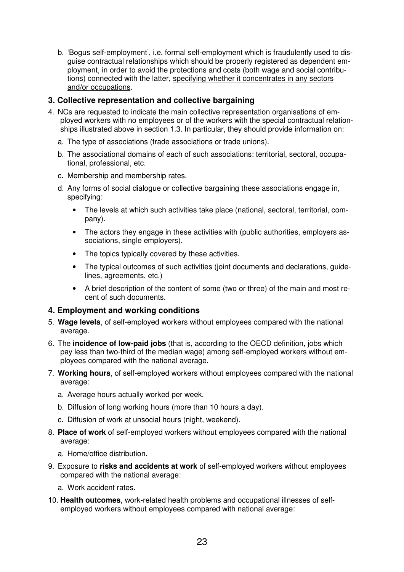b. 'Bogus self-employment', i.e. formal self-employment which is fraudulently used to disguise contractual relationships which should be properly registered as dependent employment, in order to avoid the protections and costs (both wage and social contributions) connected with the latter, specifying whether it concentrates in any sectors and/or occupations.

#### **3. Collective representation and collective bargaining**

- 4. NCs are requested to indicate the main collective representation organisations of employed workers with no employees or of the workers with the special contractual relationships illustrated above in section 1.3. In particular, they should provide information on:
	- a. The type of associations (trade associations or trade unions).
	- b. The associational domains of each of such associations: territorial, sectoral, occupational, professional, etc.
	- c. Membership and membership rates.
	- d. Any forms of social dialogue or collective bargaining these associations engage in, specifying:
		- The levels at which such activities take place (national, sectoral, territorial, company).
		- The actors they engage in these activities with (public authorities, employers associations, single employers).
		- The topics typically covered by these activities.
		- The typical outcomes of such activities (joint documents and declarations, guidelines, agreements, etc.)
		- A brief description of the content of some (two or three) of the main and most recent of such documents.

#### **4. Employment and working conditions**

- 5. **Wage levels**, of self-employed workers without employees compared with the national average.
- 6. The **incidence of low-paid jobs** (that is, according to the OECD definition, jobs which pay less than two-third of the median wage) among self-employed workers without employees compared with the national average.
- 7. **Working hours**, of self-employed workers without employees compared with the national average:
	- a. Average hours actually worked per week.
	- b. Diffusion of long working hours (more than 10 hours a day).
	- c. Diffusion of work at unsocial hours (night, weekend).
- 8. **Place of work** of self-employed workers without employees compared with the national average:
	- a. Home/office distribution.
- 9. Exposure to **risks and accidents at work** of self-employed workers without employees compared with the national average:
	- a. Work accident rates.
- 10. **Health outcomes**, work-related health problems and occupational illnesses of selfemployed workers without employees compared with national average: